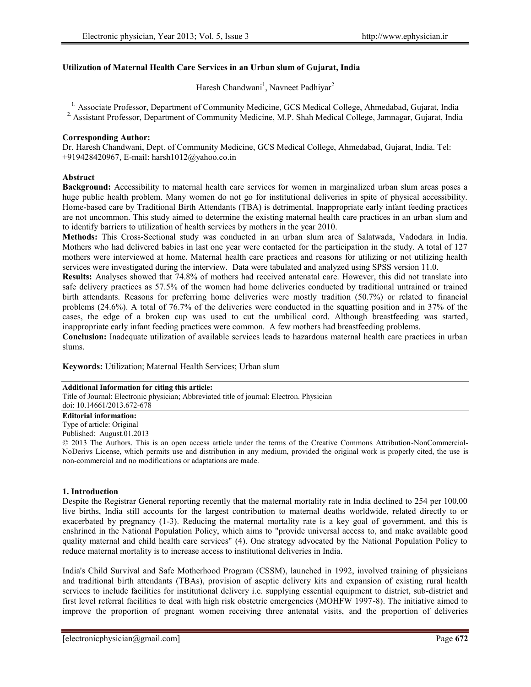## **Utilization of Maternal Health Care Services in an Urban slum of Gujarat, India**

Haresh Chandwani<sup>1</sup>, Navneet Padhiyar<sup>2</sup>

<sup>1.</sup> Associate Professor, Department of Community Medicine, GCS Medical College, Ahmedabad, Gujarat, India

2. Assistant Professor, Department of Community Medicine, M.P. Shah Medical College, Jamnagar, Gujarat, India

## **Corresponding Author:**

Dr. Haresh Chandwani, Dept. of Community Medicine, GCS Medical College, Ahmedabad, Gujarat, India. Tel: +919428420967, E-mail: harsh1012@yahoo.co.in

## **Abstract**

**Background:** Accessibility to maternal health care services for women in marginalized urban slum areas poses a huge public health problem. Many women do not go for institutional deliveries in spite of physical accessibility. Home-based care by Traditional Birth Attendants (TBA) is detrimental. Inappropriate early infant feeding practices are not uncommon. This study aimed to determine the existing maternal health care practices in an urban slum and to identify barriers to utilization of health services by mothers in the year 2010.

**Methods:** This Cross-Sectional study was conducted in an urban slum area of Salatwada, Vadodara in India. Mothers who had delivered babies in last one year were contacted for the participation in the study. A total of 127 mothers were interviewed at home. Maternal health care practices and reasons for utilizing or not utilizing health services were investigated during the interview. Data were tabulated and analyzed using SPSS version 11.0.

**Results:** Analyses showed that 74.8% of mothers had received antenatal care. However, this did not translate into safe delivery practices as 57.5% of the women had home deliveries conducted by traditional untrained or trained birth attendants. Reasons for preferring home deliveries were mostly tradition (50.7%) or related to financial problems (24.6%). A total of 76.7% of the deliveries were conducted in the squatting position and in 37% of the cases, the edge of a broken cup was used to cut the umbilical cord. Although breastfeeding was started, inappropriate early infant feeding practices were common. A few mothers had breastfeeding problems.

**Conclusion:** Inadequate utilization of available services leads to hazardous maternal health care practices in urban slums.

**Keywords:** Utilization; Maternal Health Services; Urban slum

#### **Additional Information for citing this article:**

Title of Journal: Electronic physician; Abbreviated title of journal: Electron. Physician

doi: 10.14661/2013.672-678

# **Editorial information:**

Type of article: Original

Published: August.01.2013

© 2013 The Authors. This is an open access article under the terms of the Creative Commons Attribution-NonCommercial- NoDerivs License, which permits use and distribution in any medium, provided the original work is properly cited, the use is non-commercial and no modifications or adaptations are made.

## **1. Introduction**

Despite the Registrar General reporting recently that the maternal mortality rate in India declined to 254 per 100,00 live births, India still accounts for the largest contribution to maternal deaths worldwide, related directly to or exacerbated by pregnancy (1-3). Reducing the maternal mortality rate is a key goal of government, and this is enshrined in the National Population Policy, which aims to "provide universal access to, and make available good quality maternal and child health care services" (4). One strategy advocated by the National Population Policy to reduce maternal mortality is to increase access to institutional deliveries in India.

India's Child Survival and Safe Motherhood Program (CSSM), launched in 1992, involved training of physicians and traditional birth attendants (TBAs), provision of aseptic delivery kits and expansion of existing rural health services to include facilities for institutional delivery i.e. supplying essential equipment to district, sub-district and first level referral facilities to deal with high risk obstetric emergencies (MOHFW 1997-8). The initiative aimed to improve the proportion of pregnant women receiving three antenatal visits, and the proportion of deliveries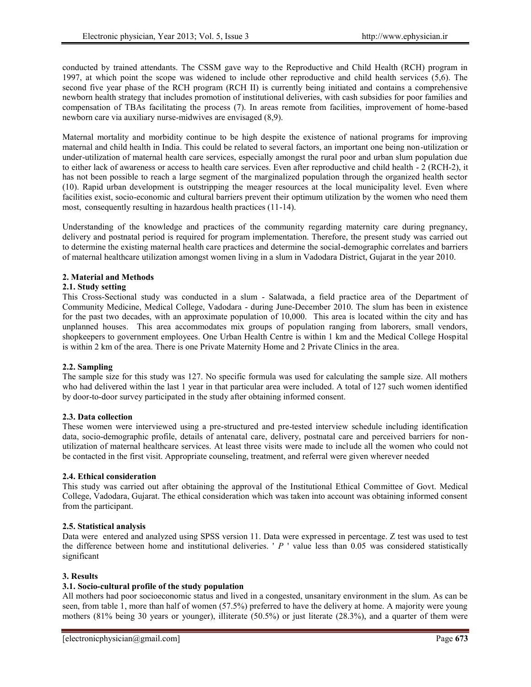conducted by trained attendants. The CSSM gave way to the Reproductive and Child Health (RCH) program in 1997, at which point the scope was widened to include other reproductive and child health services (5,6). The second five year phase of the RCH program (RCH II) is currently being initiated and contains a comprehensive newborn health strategy that includes promotion of institutional deliveries, with cash subsidies for poor families and compensation of TBAs facilitating the process (7). In areas remote from facilities, improvement of home-based newborn care via auxiliary nurse-midwives are envisaged (8,9).

Maternal mortality and morbidity continue to be high despite the existence of national programs for improving maternal and child health in India. This could be related to several factors, an important one being non-utilization or under-utilization of maternal health care services, especially amongst the rural poor and urban slum population due to either lack of awareness or access to health care services. Even after reproductive and child health - 2 (RCH-2), it has not been possible to reach a large segment of the marginalized population through the organized health sector (10). Rapid urban development is outstripping the meager resources at the local municipality level. Even where facilities exist, socio-economic and cultural barriers prevent their optimum utilization by the women who need them most, consequently resulting in hazardous health practices (11-14).

Understanding of the knowledge and practices of the community regarding maternity care during pregnancy, delivery and postnatal period is required for program implementation. Therefore, the present study was carried out to determine the existing maternal health care practices and determine the social-demographic correlates and barriers of maternal healthcare utilization amongst women living in a slum in Vadodara District, Gujarat in the year 2010.

## **2. Material and Methods**

## **2.1. Study setting**

This Cross-Sectional study was conducted in a slum - Salatwada, a field practice area of the Department of Community Medicine, Medical College, Vadodara - during June-December 2010. The slum has been in existence for the past two decades, with an approximate population of 10,000. This area is located within the city and has unplanned houses. This area accommodates mix groups of population ranging from laborers, small vendors, shopkeepers to government employees. One Urban Health Centre is within 1 km and the Medical College Hospital is within 2 km of the area. There is one Private Maternity Home and 2 Private Clinics in the area.

## **2.2. Sampling**

The sample size for this study was 127. No specific formula was used for calculating the sample size. All mothers who had delivered within the last 1 year in that particular area were included. A total of 127 such women identified by door-to-door survey participated in the study after obtaining informed consent.

## **2.3. Data collection**

These women were interviewed using a pre-structured and pre-tested interview schedule including identification data, socio-demographic profile, details of antenatal care, delivery, postnatal care and perceived barriers for non utilization of maternal healthcare services. At least three visits were made to include all the women who could not be contacted in the first visit. Appropriate counseling, treatment, and referral were given wherever needed

## **2.4. Ethical consideration**

This study was carried out after obtaining the approval of the Institutional Ethical Committee of Govt. Medical College, Vadodara, Gujarat. The ethical consideration which was taken into account was obtaining informed consent from the participant.

## **2.5. Statistical analysis**

Data were entered and analyzed using SPSS version 11. Data were expressed in percentage. Z test was used to test the difference between home and institutional deliveries. ' *P* ' value less than 0.05 was considered statistically significant

## **3. Results**

## **3.1. Socio-cultural profile of the study population**

All mothers had poor socioeconomic status and lived in a congested, unsanitary environment in the slum. As can be seen, from table 1, more than half of women (57.5%) preferred to have the delivery at home. A majority were young mothers (81% being 30 years or younger), illiterate (50.5%) or just literate (28.3%), and a quarter of them were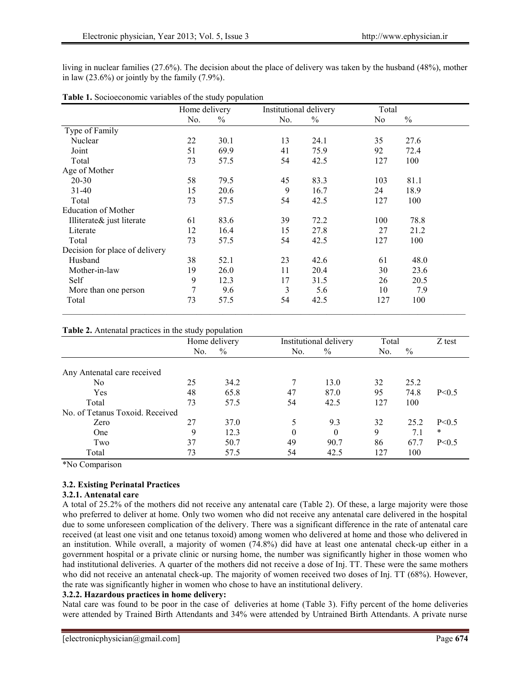living in nuclear families (27.6%). The decision about the place of delivery was taken by the husband (48%), mother in law  $(23.6\%)$  or jointly by the family  $(7.9\%)$ .

|                                | Home delivery |               | Institutional delivery |               | Total |               |
|--------------------------------|---------------|---------------|------------------------|---------------|-------|---------------|
|                                | No.           | $\frac{0}{0}$ | No.                    | $\frac{0}{0}$ | No.   | $\frac{0}{0}$ |
| Type of Family                 |               |               |                        |               |       |               |
| Nuclear                        | 22            | 30.1          | 13                     | 24.1          | 35    | 27.6          |
| Joint                          | 51            | 69.9          | 41                     | 75.9          | 92    | 72.4          |
| Total                          | 73            | 57.5          | 54                     | 42.5          | 127   | 100           |
| Age of Mother                  |               |               |                        |               |       |               |
| $20 - 30$                      | 58            | 79.5          | 45                     | 83.3          | 103   | 81.1          |
| $31-40$                        | 15            | 20.6          | 9                      | 16.7          | 24    | 18.9          |
| Total                          | 73            | 57.5          | 54                     | 42.5          | 127   | 100           |
| <b>Education of Mother</b>     |               |               |                        |               |       |               |
| Illiterate& just literate      | 61            | 83.6          | 39                     | 72.2          | 100   | 78.8          |
| Literate                       | 12            | 16.4          | 15                     | 27.8          | 27    | 21.2          |
| Total                          | 73            | 57.5          | 54                     | 42.5          | 127   | 100           |
| Decision for place of delivery |               |               |                        |               |       |               |
| Husband                        | 38            | 52.1          | 23                     | 42.6          | 61    | 48.0          |
| Mother-in-law                  | 19            | 26.0          | 11                     | 20.4          | 30    | 23.6          |
| Self                           | 9             | 12.3          | 17                     | 31.5          | 26    | 20.5          |
| More than one person           | 7             | 9.6           | 3                      | 5.6           | 10    | 7.9           |
| Total                          | 73            | 57.5          | 54                     | 42.5          | 127   | 100           |

| Table 1. Socioeconomic variables of the study population |  |
|----------------------------------------------------------|--|
|----------------------------------------------------------|--|

## **Table 2.** Antenatal practices in the study population

|                                 | Home delivery |               | Institutional delivery |          | Total |      | Z test  |
|---------------------------------|---------------|---------------|------------------------|----------|-------|------|---------|
|                                 | No.           | $\frac{0}{0}$ | No.                    | $\%$     | No.   | $\%$ |         |
| Any Antenatal care received     |               |               |                        |          |       |      |         |
| N <sub>0</sub>                  | 25            | 34.2          | 7                      | 13.0     | 32    | 25.2 |         |
| Yes                             | 48            | 65.8          | 47                     | 87.0     | 95    | 74.8 | P < 0.5 |
| Total                           | 73            | 57.5          | 54                     | 42.5     | 127   | 100  |         |
| No. of Tetanus Toxoid. Received |               |               |                        |          |       |      |         |
| Zero                            | 27            | 37.0          |                        | 9.3      | 32    | 25.2 | P < 0.5 |
| One                             | Q             | 12.3          | $\theta$               | $\theta$ | 9     | 7.1  | $\ast$  |
| Two                             | 37            | 50.7          | 49                     | 90.7     | 86    | 67.7 | P < 0.5 |
| Total                           | 73            | 57.5          | 54                     | 42.5     | 127   | 100  |         |

\*No Comparison

## **3.2. Existing Perinatal Practices**

#### **3.2.1. Antenatal care**

A total of 25.2% of the mothers did not receive any antenatal care (Table 2). Of these, a large majority were those who preferred to deliver at home. Only two women who did not receive any antenatal care delivered in the hospital due to some unforeseen complication of the delivery. There was a significant difference in the rate of antenatal care received (at least one visit and one tetanus toxoid) among women who delivered at home and those who delivered in an institution. While overall, a majority of women (74.8%) did have at least one antenatal check-up either in a government hospital or a private clinic or nursing home, the number was significantly higher in those women who had institutional deliveries. A quarter of the mothers did not receive a dose of Inj. TT. These were the same mothers who did not receive an antenatal check-up. The majority of women received two doses of Inj. TT (68%). However, the rate was significantly higher in women who chose to have an institutional delivery.

## **3.2.2. Hazardous practices in home delivery:**

Natal care was found to be poor in the case of deliveries at home (Table 3). Fifty percent of the home deliveries were attended by Trained Birth Attendants and 34% were attended by Untrained Birth Attendants. A private nurse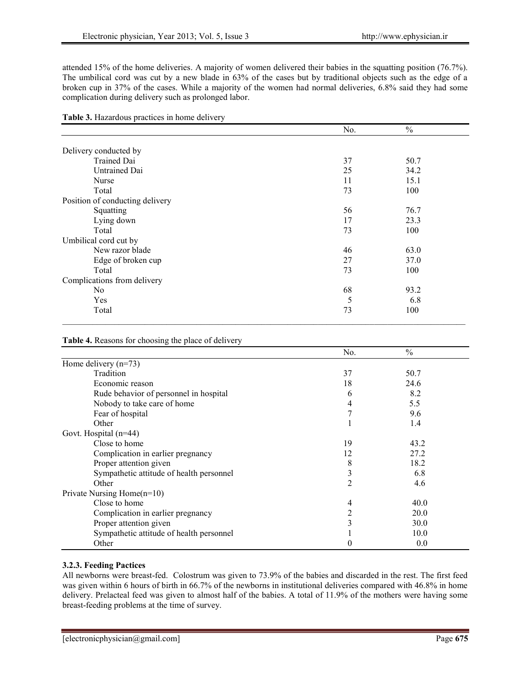attended 15% of the home deliveries. A majority of women delivered their babies in the squatting position (76.7%). The umbilical cord was cut by a new blade in 63% of the cases but by traditional objects such as the edge of a broken cup in 37% of the cases. While a majority of the women had normal deliveries, 6.8% said they had some complication during delivery such as prolonged labor.

|  |  | Table 3. Hazardous practices in home delivery |
|--|--|-----------------------------------------------|
|--|--|-----------------------------------------------|

| No. | $\frac{0}{0}$ |  |
|-----|---------------|--|
|     |               |  |
|     |               |  |
| 37  | 50.7          |  |
| 25  | 34.2          |  |
| 11  | 15.1          |  |
| 73  | 100           |  |
|     |               |  |
| 56  | 76.7          |  |
| 17  | 23.3          |  |
| 73  | 100           |  |
|     |               |  |
| 46  | 63.0          |  |
| 27  | 37.0          |  |
| 73  | 100           |  |
|     |               |  |
| 68  | 93.2          |  |
| 5   | 6.8           |  |
| 73  | 100           |  |
|     |               |  |

## **Table 4.** Reasons for choosing the place of delivery

|                                          | No.            | $\frac{0}{0}$ |
|------------------------------------------|----------------|---------------|
| Home delivery $(n=73)$                   |                |               |
| Tradition                                | 37             | 50.7          |
| Economic reason                          | 18             | 24.6          |
| Rude behavior of personnel in hospital   | 6              | 8.2           |
| Nobody to take care of home              | 4              | 5.5           |
| Fear of hospital                         |                | 9.6           |
| Other                                    |                | 1.4           |
| Govt. Hospital (n=44)                    |                |               |
| Close to home                            | 19             | 43.2          |
| Complication in earlier pregnancy        | 12             | 27.2          |
| Proper attention given                   | 8              | 18.2          |
| Sympathetic attitude of health personnel | 3              | 6.8           |
| Other                                    | $\overline{2}$ | 4.6           |
| Private Nursing Home $(n=10)$            |                |               |
| Close to home                            | 4              | 40.0          |
| Complication in earlier pregnancy        | 2              | 20.0          |
| Proper attention given                   | 3              | 30.0          |
| Sympathetic attitude of health personnel |                | 10.0          |
| Other                                    |                | 0.0           |

# **3.2.3. Feeding Pactices**

All newborns were breast-fed. Colostrum was given to 73.9% of the babies and discarded in the rest. The first feed was given within 6 hours of birth in 66.7% of the newborns in institutional deliveries compared with 46.8% in home delivery. Prelacteal feed was given to almost half of the babies. A total of 11.9% of the mothers were having some breast-feeding problems at the time of survey.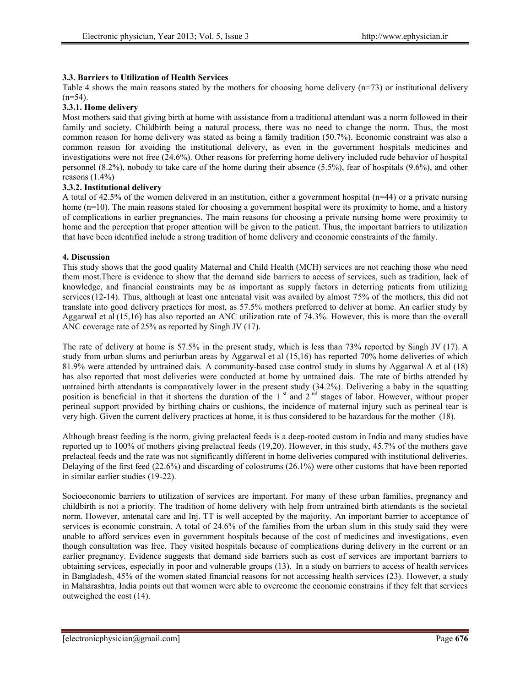## **3.3. Barriers to Utilization of Health Services**

Table 4 shows the main reasons stated by the mothers for choosing home delivery  $(n=73)$  or institutional delivery  $(n=54)$ .

#### **3.3.1. Home delivery**

Most mothers said that giving birth at home with assistance from a traditional attendant was a norm followed in their family and society. Childbirth being a natural process, there was no need to change the norm. Thus, the most common reason for home delivery was stated as being a family tradition (50.7%). Economic constraint was also a common reason for avoiding the institutional delivery, as even in the government hospitals medicines and investigations were not free (24.6%). Other reasons for preferring home delivery included rude behavior of hospital personnel (8.2%), nobody to take care of the home during their absence (5.5%), fear of hospitals (9.6%), and other reasons  $(1.4\%)$ 

#### **3.3.2. Institutional delivery**

A total of 42.5% of the women delivered in an institution, either a government hospital (n=44) or a private nursing home (n=10). The main reasons stated for choosing a government hospital were its proximity to home, and a history of complications in earlier pregnancies. The main reasons for choosing a private nursing home were proximity to home and the perception that proper attention will be given to the patient. Thus, the important barriers to utilization that have been identified include a strong tradition of home delivery and economic constraints of the family.

#### **4. Discussion**

This study shows that the good quality Maternal and Child Health (MCH) services are not reaching those who need them most.There is evidence to show that the demand side barriers to access of services, such as tradition, lack of knowledge, and financial constraints may be as important as supply factors in deterring patients from utilizing services(12-14). Thus, although at least one antenatal visit was availed by almost 75% of the mothers, this did not translate into good delivery practices for most, as 57.5% mothers preferred to deliver at home. An earlier study by Aggarwal et al (15,16) has also reported an ANC utilization rate of 74.3%. However, this is more than the overall ANC coverage rate of 25% as reported by Singh JV (17).

The rate of delivery at home is 57.5% in the present study, which is less than 73% reported by Singh JV (17). A study from urban slums and periurban areas by Aggarwal et al (15,16) has reported 70% home deliveries of which 81.9% were attended by untrained dais. A community-based case control study in slums by Aggarwal A et al (18) has also reported that most deliveries were conducted at home by untrained dais. The rate of births attended by untrained birth attendants is comparatively lower in the present study (34.2%). Delivering a baby in the squatting position is beneficial in that it shortens the duration of the  $1<sup>st</sup>$  and  $2<sup>nd</sup>$  stages of labor. However, without proper perineal support provided by birthing chairs or cushions, the incidence of maternal injury such as perineal tear is very high. Given the current delivery practices at home, it is thus considered to be hazardous for the mother (18).

Although breast feeding is the norm, giving prelacteal feeds is a deep-rooted custom in India and many studies have reported up to 100% of mothers giving prelacteal feeds (19,20). However, in this study, 45.7% of the mothers gave prelacteal feeds and the rate was not significantly different in home deliveries compared with institutional deliveries. Delaying of the first feed (22.6%) and discarding of colostrums (26.1%) were other customs that have been reported in similar earlier studies (19-22).

Socioeconomic barriers to utilization of services are important. For many of these urban families, pregnancy and childbirth is not a priority. The tradition of home delivery with help from untrained birth attendants is the societal norm. However, antenatal care and Inj. TT is well accepted by the majority. An important barrier to acceptance of services is economic constrain. A total of 24.6% of the families from the urban slum in this study said they were unable to afford services even in government hospitals because of the cost of medicines and investigations, even though consultation was free. They visited hospitals because of complications during delivery in the current or an earlier pregnancy. Evidence suggests that demand side barriers such as cost of services are important barriers to obtaining services, especially in poor and vulnerable groups (13). In a study on barriers to access of health services in Bangladesh, 45% of the women stated financial reasons for not accessing health services (23). However, a study in Maharashtra, India points out that women were able to overcome the economic constrains if they felt that services outweighed the cost (14).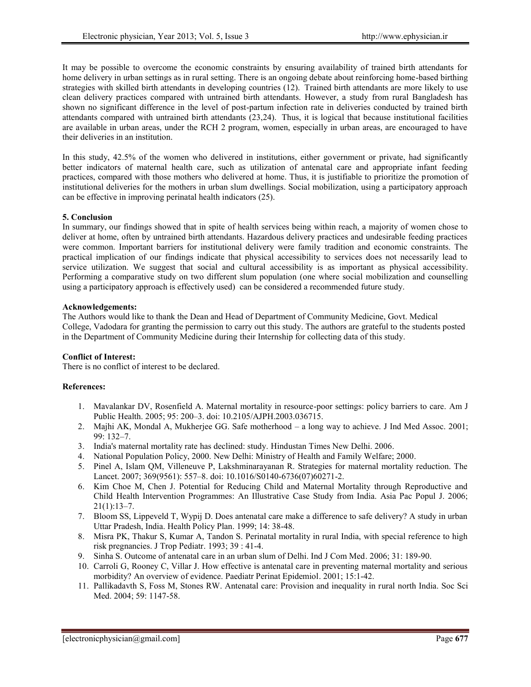It may be possible to overcome the economic constraints by ensuring availability of trained birth attendants for home delivery in urban settings as in rural setting. There is an ongoing debate about reinforcing home-based birthing strategies with skilled birth attendants in developing countries (12). Trained birth attendants are more likely to use clean delivery practices compared with untrained birth attendants. However, a study from rural Bangladesh has shown no significant difference in the level of post-partum infection rate in deliveries conducted by trained birth attendants compared with untrained birth attendants (23,24). Thus, it is logical that because institutional facilities are available in urban areas, under the RCH 2 program, women, especially in urban areas, are encouraged to have their deliveries in an institution.

In this study, 42.5% of the women who delivered in institutions, either government or private, had significantly better indicators of maternal health care, such as utilization of antenatal care and appropriate infant feeding practices, compared with those mothers who delivered at home. Thus, it is justifiable to prioritize the promotion of institutional deliveries for the mothers in urban slum dwellings. Social mobilization, using a participatory approach can be effective in improving perinatal health indicators (25).

## **5. Conclusion**

In summary, our findings showed that in spite of health services being within reach, a majority of women chose to deliver at home, often by untrained birth attendants. Hazardous delivery practices and undesirable feeding practices were common. Important barriers for institutional delivery were family tradition and economic constraints. The practical implication of our findings indicate that physical accessibility to services does not necessarily lead to service utilization. We suggest that social and cultural accessibility is as important as physical accessibility. Performing a comparative study on two different slum population (one where social mobilization and counselling using a participatory approach is effectively used) can be considered a recommended future study.

## **Acknowledgements:**

The Authors would like to thank the Dean and Head of Department of Community Medicine, Govt. Medical College, Vadodara for granting the permission to carry out this study. The authors are grateful to the students posted in the Department of Community Medicine during their Internship for collecting data of this study.

# **Conflict of Interest:**

There is no conflict of interest to be declared.

# **References:**

- 1. Mavalankar DV, Rosenfield A. Maternal mortality in resource-poor settings: policy barriers to care. Am J Public Health. 2005; 95: 200–3. doi: 10.2105/AJPH.2003.036715.
- 2. Majhi AK, Mondal A, Mukherjee GG. Safe motherhood a long way to achieve. J Ind Med Assoc. 2001; 99: 132–7.
- 3. India's maternal mortality rate has declined: study. Hindustan Times New Delhi. 2006.
- 4. National Population Policy, 2000. New Delhi: Ministry of Health and Family Welfare; 2000.
- 5. Pinel A, Islam QM, Villeneuve P, Lakshminarayanan R. Strategies for maternal mortality reduction. The Lancet. 2007; 369(9561): 557–8. doi: 10.1016/S0140-6736(07)60271-2.
- 6. Kim Choe M, Chen J. Potential for Reducing Child and Maternal Mortality through Reproductive and Child Health Intervention Programmes: An Illustrative Case Study from India. Asia Pac Popul J. 2006;  $21(1):13-7.$
- 7. Bloom SS, Lippeveld T, Wypij D. Does antenatal care make a difference to safe delivery? A study in urban Uttar Pradesh, India. Health Policy Plan. 1999; 14: 38-48.
- 8. Misra PK, Thakur S, Kumar A, Tandon S. Perinatal mortality in rural India, with special reference to high risk pregnancies. J Trop Pediatr. 1993; 39 : 41-4.
- 9. Sinha S. Outcome of antenatal care in an urban slum of Delhi. Ind J Com Med. 2006; 31: 189-90.
- 10. Carroli G, Rooney C, Villar J. How effective is antenatal care in preventing maternal mortality and serious morbidity? An overview of evidence. Paediatr Perinat Epidemiol. 2001; 15:1-42.
- 11. Pallikadavth S, Foss M, Stones RW. Antenatal care: Provision and inequality in rural north India. Soc Sci Med. 2004; 59: 1147-58.